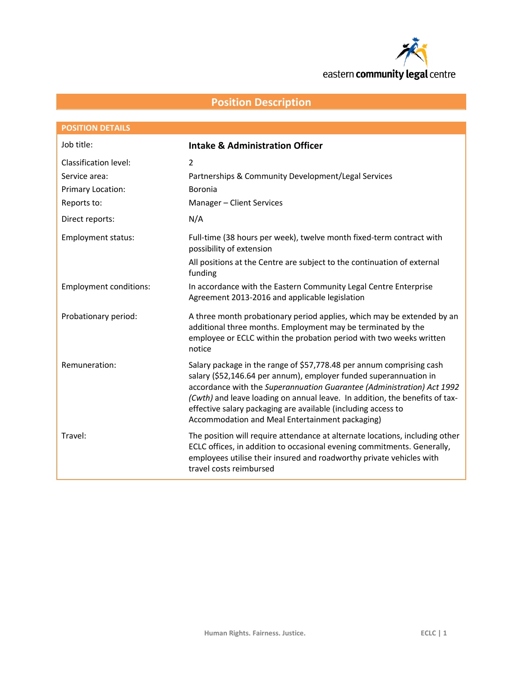

eastern community legal centre

# **Position Description**

| <b>POSITION DETAILS</b>       |                                                                                                                                                                                                                                                                                                                                                                                                                        |  |
|-------------------------------|------------------------------------------------------------------------------------------------------------------------------------------------------------------------------------------------------------------------------------------------------------------------------------------------------------------------------------------------------------------------------------------------------------------------|--|
| Job title:                    | <b>Intake &amp; Administration Officer</b>                                                                                                                                                                                                                                                                                                                                                                             |  |
| Classification level:         | $\overline{2}$                                                                                                                                                                                                                                                                                                                                                                                                         |  |
| Service area:                 | Partnerships & Community Development/Legal Services                                                                                                                                                                                                                                                                                                                                                                    |  |
| Primary Location:             | Boronia                                                                                                                                                                                                                                                                                                                                                                                                                |  |
| Reports to:                   | Manager - Client Services                                                                                                                                                                                                                                                                                                                                                                                              |  |
| Direct reports:               | N/A                                                                                                                                                                                                                                                                                                                                                                                                                    |  |
| <b>Employment status:</b>     | Full-time (38 hours per week), twelve month fixed-term contract with<br>possibility of extension                                                                                                                                                                                                                                                                                                                       |  |
|                               | All positions at the Centre are subject to the continuation of external<br>funding                                                                                                                                                                                                                                                                                                                                     |  |
| <b>Employment conditions:</b> | In accordance with the Eastern Community Legal Centre Enterprise<br>Agreement 2013-2016 and applicable legislation                                                                                                                                                                                                                                                                                                     |  |
| Probationary period:          | A three month probationary period applies, which may be extended by an<br>additional three months. Employment may be terminated by the<br>employee or ECLC within the probation period with two weeks written<br>notice                                                                                                                                                                                                |  |
| Remuneration:                 | Salary package in the range of \$57,778.48 per annum comprising cash<br>salary (\$52,146.64 per annum), employer funded superannuation in<br>accordance with the Superannuation Guarantee (Administration) Act 1992<br>(Cwth) and leave loading on annual leave. In addition, the benefits of tax-<br>effective salary packaging are available (including access to<br>Accommodation and Meal Entertainment packaging) |  |
| Travel:                       | The position will require attendance at alternate locations, including other<br>ECLC offices, in addition to occasional evening commitments. Generally,<br>employees utilise their insured and roadworthy private vehicles with<br>travel costs reimbursed                                                                                                                                                             |  |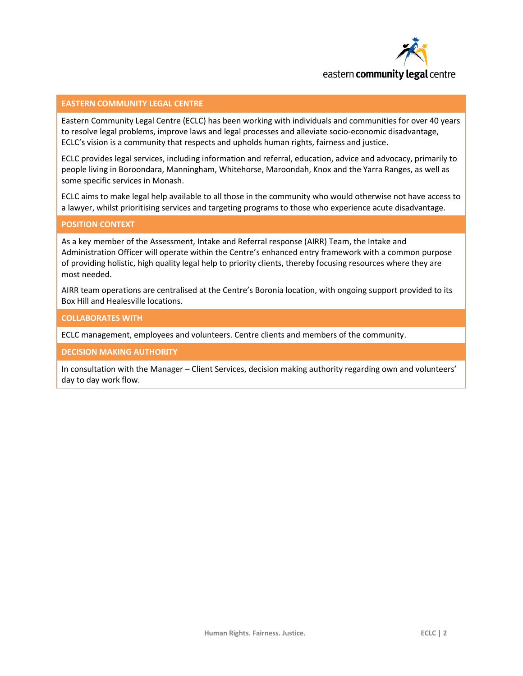

# **EASTERN COMMUNITY LEGAL CENTRE**

Eastern Community Legal Centre (ECLC) has been working with individuals and communities for over 40 years to resolve legal problems, improve laws and legal processes and alleviate socio-economic disadvantage, ECLC's vision is a community that respects and upholds human rights, fairness and justice.

ECLC provides legal services, including information and referral, education, advice and advocacy, primarily to people living in Boroondara, Manningham, Whitehorse, Maroondah, Knox and the Yarra Ranges, as well as some specific services in Monash.

ECLC aims to make legal help available to all those in the community who would otherwise not have access to a lawyer, whilst prioritising services and targeting programs to those who experience acute disadvantage.

#### **POSITION CONTEXT**

As a key member of the Assessment, Intake and Referral response (AIRR) Team, the Intake and Administration Officer will operate within the Centre's enhanced entry framework with a common purpose of providing holistic, high quality legal help to priority clients, thereby focusing resources where they are most needed.

AIRR team operations are centralised at the Centre's Boronia location, with ongoing support provided to its Box Hill and Healesville locations.

#### **COLLABORATES WITH**

ECLC management, employees and volunteers. Centre clients and members of the community.

**DECISION MAKING AUTHORITY**

In consultation with the Manager – Client Services, decision making authority regarding own and volunteers' day to day work flow.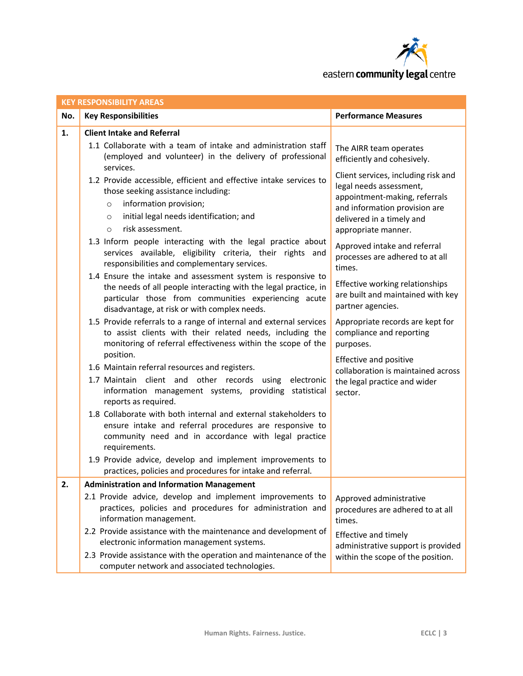

| <b>KEY RESPONSIBILITY AREAS</b> |                                                                                                                                                                                                                                         |                                                                                                                                                                                      |  |
|---------------------------------|-----------------------------------------------------------------------------------------------------------------------------------------------------------------------------------------------------------------------------------------|--------------------------------------------------------------------------------------------------------------------------------------------------------------------------------------|--|
| No.                             | <b>Key Responsibilities</b>                                                                                                                                                                                                             | <b>Performance Measures</b>                                                                                                                                                          |  |
| 1.                              | <b>Client Intake and Referral</b>                                                                                                                                                                                                       |                                                                                                                                                                                      |  |
|                                 | 1.1 Collaborate with a team of intake and administration staff<br>(employed and volunteer) in the delivery of professional<br>services.                                                                                                 | The AIRR team operates<br>efficiently and cohesively.                                                                                                                                |  |
|                                 | 1.2 Provide accessible, efficient and effective intake services to<br>those seeking assistance including:<br>information provision;<br>$\circ$<br>initial legal needs identification; and<br>$\circ$<br>risk assessment.<br>$\circ$     | Client services, including risk and<br>legal needs assessment,<br>appointment-making, referrals<br>and information provision are<br>delivered in a timely and<br>appropriate manner. |  |
|                                 | 1.3 Inform people interacting with the legal practice about<br>services available, eligibility criteria, their rights and<br>responsibilities and complementary services.                                                               | Approved intake and referral<br>processes are adhered to at all<br>times.                                                                                                            |  |
|                                 | 1.4 Ensure the intake and assessment system is responsive to<br>the needs of all people interacting with the legal practice, in<br>particular those from communities experiencing acute<br>disadvantage, at risk or with complex needs. | Effective working relationships<br>are built and maintained with key<br>partner agencies.                                                                                            |  |
|                                 | 1.5 Provide referrals to a range of internal and external services<br>to assist clients with their related needs, including the<br>monitoring of referral effectiveness within the scope of the<br>position.                            | Appropriate records are kept for<br>compliance and reporting<br>purposes.                                                                                                            |  |
|                                 | 1.6 Maintain referral resources and registers.                                                                                                                                                                                          | Effective and positive                                                                                                                                                               |  |
|                                 | 1.7 Maintain client and other records using<br>electronic<br>information management systems, providing statistical<br>reports as required.                                                                                              | collaboration is maintained across<br>the legal practice and wider<br>sector.                                                                                                        |  |
|                                 | 1.8 Collaborate with both internal and external stakeholders to<br>ensure intake and referral procedures are responsive to<br>community need and in accordance with legal practice<br>requirements.                                     |                                                                                                                                                                                      |  |
|                                 | 1.9 Provide advice, develop and implement improvements to<br>practices, policies and procedures for intake and referral.                                                                                                                |                                                                                                                                                                                      |  |
| 2.                              | <b>Administration and Information Management</b>                                                                                                                                                                                        |                                                                                                                                                                                      |  |
|                                 | 2.1 Provide advice, develop and implement improvements to<br>practices, policies and procedures for administration and<br>information management.                                                                                       | Approved administrative<br>procedures are adhered to at all<br>times.                                                                                                                |  |
|                                 | 2.2 Provide assistance with the maintenance and development of<br>electronic information management systems.<br>2.3 Provide assistance with the operation and maintenance of the<br>computer network and associated technologies.       | Effective and timely<br>administrative support is provided<br>within the scope of the position.                                                                                      |  |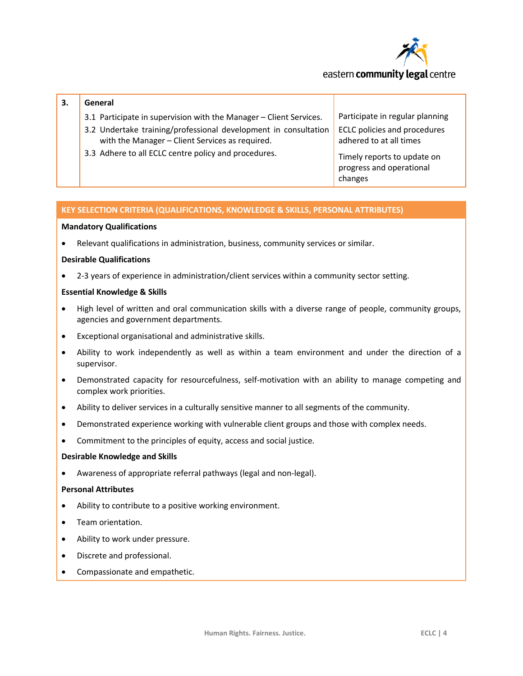

# eastern **community legal** centre

# **3. General**

- 3.1 Participate in supervision with the Manager Client Services.
- 3.2 Undertake training/professional development in consultation with the Manager – Client Services as required.
- 3.3 Adhere to all ECLC centre policy and procedures.

Participate in regular planning ECLC policies and procedures adhered to at all times

Timely reports to update on progress and operational changes

# **KEY SELECTION CRITERIA (QUALIFICATIONS, KNOWLEDGE & SKILLS, PERSONAL ATTRIBUTES)**

#### **Mandatory Qualifications**

Relevant qualifications in administration, business, community services or similar.

# **Desirable Qualifications**

2-3 years of experience in administration/client services within a community sector setting.

#### **Essential Knowledge & Skills**

- High level of written and oral communication skills with a diverse range of people, community groups, agencies and government departments.
- Exceptional organisational and administrative skills.
- Ability to work independently as well as within a team environment and under the direction of a supervisor.
- Demonstrated capacity for resourcefulness, self-motivation with an ability to manage competing and complex work priorities.
- Ability to deliver services in a culturally sensitive manner to all segments of the community.
- Demonstrated experience working with vulnerable client groups and those with complex needs.
- Commitment to the principles of equity, access and social justice.

#### **Desirable Knowledge and Skills**

Awareness of appropriate referral pathways (legal and non-legal).

# **Personal Attributes**

- Ability to contribute to a positive working environment.
- Team orientation.
- Ability to work under pressure.
- Discrete and professional.
- Compassionate and empathetic.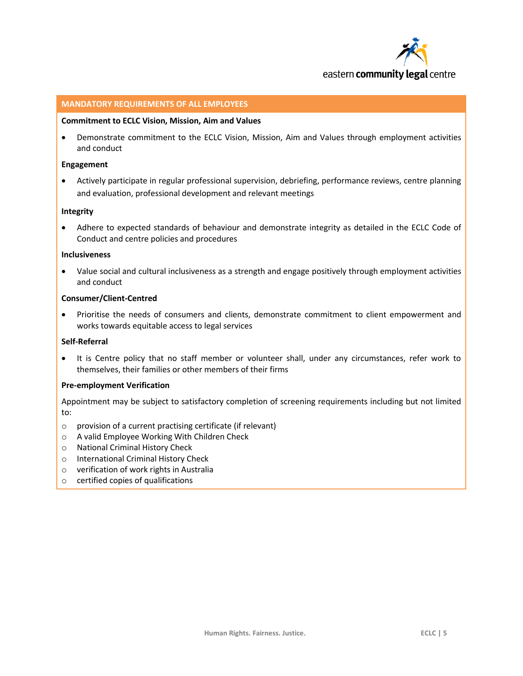

#### **MANDATORY REQUIREMENTS OF ALL EMPLOYEES**

#### **Commitment to ECLC Vision, Mission, Aim and Values**

 Demonstrate commitment to the ECLC Vision, Mission, Aim and Values through employment activities and conduct

#### **Engagement**

 Actively participate in regular professional supervision, debriefing, performance reviews, centre planning and evaluation, professional development and relevant meetings

## **Integrity**

 Adhere to expected standards of behaviour and demonstrate integrity as detailed in the ECLC Code of Conduct and centre policies and procedures

#### **Inclusiveness**

 Value social and cultural inclusiveness as a strength and engage positively through employment activities and conduct

# **Consumer/Client-Centred**

• Prioritise the needs of consumers and clients, demonstrate commitment to client empowerment and works towards equitable access to legal services

# **Self-Referral**

 It is Centre policy that no staff member or volunteer shall, under any circumstances, refer work to themselves, their families or other members of their firms

# **Pre-employment Verification**

Appointment may be subject to satisfactory completion of screening requirements including but not limited to:

- o provision of a current practising certificate (if relevant)
- o A valid Employee Working With Children Check
- o National Criminal History Check
- o International Criminal History Check
- o verification of work rights in Australia
- o certified copies of qualifications